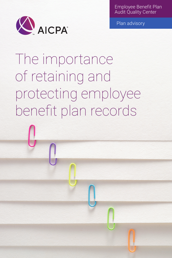Employee Benefit Plan Audit Quality Center



Plan advisory

The importance of retaining and protecting employee benefit plan records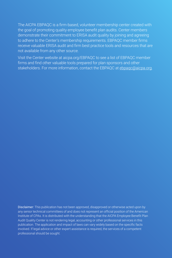The AICPA EBPAQC is a firm-based, volunteer membership center created with the goal of promoting quality employee benefit plan audits. Center members demonstrate their commitment to ERISA audit quality by joining and agreeing to adhere to the Center's membership requirements. EBPAQC member firms receive valuable ERISA audit and firm best practice tools and resources that are not available from any other source.

Visit the Center website at aicpa.org/EBPAQC to see a list of EBPAQC member firms and find other valuable tools prepared for plan sponsors and other stakeholders. For more information, contact the EBPAQC at ebpagc@aicpa.org.

Disclaimer: This publication has not been approved, disapproved or otherwise acted upon by any senior technical committees of and does not represent an official position of the American Institute of CPAs. It is distributed with the understanding that the AICPA Employee Benefit Plan Audit Quality Center is not rendering legal, accounting or other professional services in this publication. The application and impact of laws can vary widely based on the specific facts involved. If legal advice or other expert assistance is required, the services of a competent professional should be sought.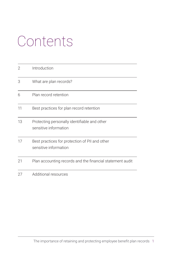# Contents

| 2  | Introduction                                                            |
|----|-------------------------------------------------------------------------|
| 3  | What are plan records?                                                  |
| 6  | Plan record retention                                                   |
| 11 | Best practices for plan record retention                                |
| 13 | Protecting personally identifiable and other<br>sensitive information   |
| 17 | Best practices for protection of PII and other<br>sensitive information |
| 21 | Plan accounting records and the financial statement audit               |
| 27 | Additional resources                                                    |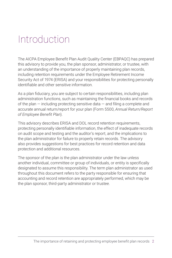## <span id="page-3-0"></span>Introduction

The AICPA Employee Benefit Plan Audit Quality Center (EBPAQC) has prepared this advisory to provide you, the plan sponsor, administrator, or trustee, with an understanding of the importance of properly maintaining plan records, including retention requirements under the Employee Retirement Income Security Act of 1974 (ERISA) and your responsibilities for protecting personally identifiable and other sensitive information.

As a plan fiduciary, you are subject to certain responsibilities, including plan administration functions, such as maintaining the financial books and records of the plan  $-$  including protecting sensitive data  $-$  and filing a complete and accurate annual return/report for your plan (Form 5500, *Annual Return/Report of Employee Benefit Plan*).

This advisory describes ERISA and DOL record retention requirements, protecting personally identifiable information, the effect of inadequate records on audit scope and testing and the auditor's report, and the implications to the plan administrator for failure to properly retain records. The advisory also provides suggestions for best practices for record retention and data protection and additional resources.

The sponsor of the plan is the plan administrator under the law unless another individual, committee or group of individuals, or entity is specifically designated to assume this responsibility. The term plan administrator as used throughout this document refers to the party responsible for ensuring that accounting and record retention are appropriately performed, which may be the plan sponsor, third-party administrator or trustee.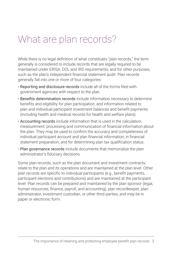# <span id="page-4-0"></span>What are plan records?

While there is no legal definition of what constitutes "plan records," the term generally is considered to include records that are legally required to be maintained under ERISA, DOL and IRS requirements, and for other purposes, such as the plan's independent financial statement audit. Plan records generally fall into *one* or *more* of four categories:

- Reporting and disclosure records include all of the forms filed with government agencies with respect to the plan.
- Benefits determination records include information necessary to determine benefits and eligibility for plan participation, and information related to plan and individual participant investment balances and benefit payments (including health and medical records for health and welfare plans).
- Accounting records include information that is used in the calculation, measurement, processing and communication of financial information about the plan. They may be used to confirm the accuracy and completeness of individual participant account and plan financial information, in financial statement preparation, and for determining plan tax qualification status.
- Plan governance records include documents that memorialize the plan administrator's fiduciary decisions.

Some plan records, such as the plan document and investment contracts, relate to the plan and its operations and are maintained at the plan level. Other plan records are specific to individual participants (e.g., benefit payments, participant elections and contributions) and are maintained at the participant level. Plan records can be prepared and maintained by the plan sponsor (legal, human resources, finance, payroll, and accounting), plan recordkeeper, plan administrator, investment custodian, or other third-parties, and may be in paper or electronic form.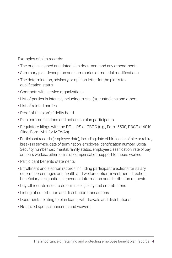Examples of plan records:

- The original signed and dated plan document and any amendments
- Summary plan description and summaries of material modifications
- The determination, advisory or opinion letter for the plan's tax qualification status
- Contracts with service organizations
- List of parties in interest, including trustee(s), custodians and others
- List of related parties
- Proof of the plan's fidelity bond
- Plan communications and notices to plan participants
- Regulatory filings with the DOL, IRS or PBGC (e.g., Form 5500, PBGC e-4010 filing; Form M-1 for MEWAs)
- Participant records (employee data), including date of birth, date of hire or rehire, breaks in service, date of termination, employee identification number, Social Security number, sex, marital/family status, employee classification, rate of pay or hours worked, other forms of compensation, support for hours worked
- Participant benefits statements
- Enrollment and election records including participant elections for salary deferral percentages and health and welfare option, investment direction, beneficiary designation, dependent information and distribution requests
- Payroll records used to determine eligibility and contributions
- Listing of contribution and distribution transactions
- Documents relating to plan loans, withdrawals and distributions
- Notarized spousal consents and waivers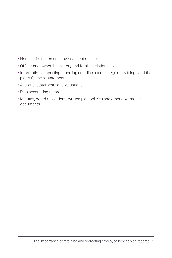- Nondiscrimination and coverage test results
- Officer and ownership history and familial relationships
- Information supporting reporting and disclosure in regulatory filings and the plan's financial statements
- Actuarial statements and valuations
- Plan accounting records
- Minutes, board resolutions, written plan policies and other governance documents.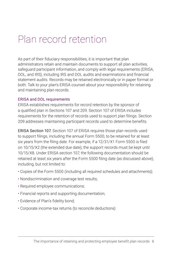# <span id="page-7-0"></span>Plan record retention

As part of their fiduciary responsibilities, it is important that plan administrators retain and maintain documents to support all plan activities, safeguard participant information, and comply with legal requirements (ERISA, DOL, and IRS), including IRS and DOL audits and examinations and financial statement audits. Records may be retained electronically or in paper format or both. Talk to your plan's ERISA counsel about your responsibility for retaining and maintaining plan records.

### ERISA and DOL requirements

ERISA establishes requirements for record retention by the sponsor of a qualified plan in Sections 107 and 209. Section 107 of ERISA includes requirements for the retention of records used to support plan filings. Section 209 addresses maintaining participant records used to determine benefits.

ERISA Section 107. Section 107 of ERISA requires those plan records used to support filings, including the annual Form 5500, to be retained for at least six years from the filing date. For example, if a 12/31/X1 Form 5500 is filed on 10/15/X2 (the extended due date), the support records must be kept until 10/15/X8. Under ERISA section 107, the following documentation should be retained at least six years after the Form 5500 filing date (as discussed above), including, but not limited to:

- Copies of the Form 5500 (including all required schedules and attachments);
- Nondiscrimination and coverage test results;
- Required employee communications;
- Financial reports and supporting documentation;
- Evidence of Plan's fidelity bond;
- Corporate income-tax returns (to reconcile deductions)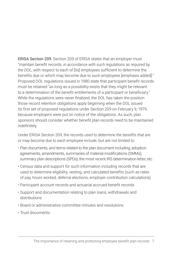ERISA Section 209. Section 209 of ERISA states that an employer must "maintain benefit records, *in accordance with such regulations as required by the DOL*, with respect to each of [its] employees sufficient to determine the benefits due or which may become due to such employees [emphasis added]." Proposed DOL regulations issued in 1980 state that participant benefit records must be retained "as long as a possibility exists that they might be relevant to a determination of the benefit entitlements of a participant or beneficiary." While the regulations were never finalized, the DOL has taken the position those record retention obligations apply beginning when the DOL issued its first set of proposed regulations under Section 209 on February 9, 1979, because employers were put on notice of the obligations. As such, plan sponsors should consider whether benefit plan records need to be maintained indefinitely.

Under ERISA Section 209, the records *used to determine the benefits that are or may become due to each employee* include, but are not limited to:

- Plan documents, and items related to the plan document including, adoption agreements, amendments, summaries of material modifications (SMMs), summary plan descriptions (SPDs), the most recent IRS determination letter, etc.
- Census data and support for such information including records that are used to determine eligibility, vesting, and calculated benefits (such as rates of pay, hours worked, deferral elections; employer contribution calculations)
- Participant account records and actuarial accrued benefit records
- Support and documentation relating to plan loans, withdrawals and distributions
- Board or administrative committee minutes and resolutions
- Trust documents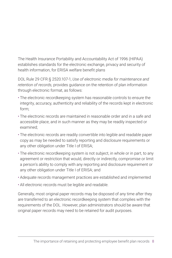The Health Insurance Portability and Accountability Act of 1996 (HIPAA) establishes standards for the electronic exchange, privacy and security of health information, for ERISA welfare benefit plans

DOL Rule 29 CFR § 2520.107-1, *Use of electronic media for maintenance and retention of records,* provides guidance on the retention of plan information through electronic format, as follows:

- The electronic recordkeeping system has reasonable controls to ensure the integrity, accuracy, authenticity and reliability of the records kept in electronic form;
- The electronic records are maintained in reasonable order and in a safe and accessible place, and in such manner as they may be readily inspected or examined;
- The electronic records are readily convertible into legible and readable paper copy as may be needed to satisfy reporting and disclosure requirements or any other obligation under Title I of ERISA;
- The electronic recordkeeping system is not subject, in whole or in part, to any agreement or restriction that would, directly or indirectly, compromise or limit a person's ability to comply with any reporting and disclosure requirement or any other obligation under Title I of ERISA; and
- Adequate records management practices are established and implemented
- All electronic records must be legible and readable.

Generally, most original paper records may be disposed of any time after they are transferred to an electronic recordkeeping system that complies with the requirements of the DOL. However, plan administrators should be aware that original paper records may need to be retained for audit purposes.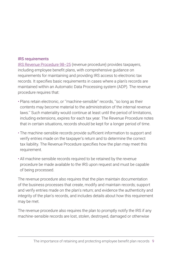#### IRS requirements

[IRS Revenue Procedure 98–25](https://www.irs.gov/pub/irs-drop/rp-98-25.pdf) (revenue procedure) provides taxpayers, including employee benefit plans, with comprehensive guidance on requirements for maintaining and providing IRS access to electronic tax records. It specifies basic requirements in cases where a plan's records are maintained within an Automatic Data Processing system (ADP). The revenue procedure requires that:

- Plans retain electronic, or ''machine-sensible'' records, ''so long as their contents may become material to the administration of the internal revenue laws.'' Such materiality would continue at least until the period of limitations, including extensions, expires for each tax year. The Revenue Procedure notes that in certain situations, records should be kept for a longer period of time.
- The machine-sensible records provide sufficient information to support and verify entries made on the taxpayer's return and to determine the correct tax liability. The Revenue Procedure specifies how the plan may meet this requirement.
- All machine-sensible records required to be retained by the revenue procedure be made available to the IRS upon request and must be capable of being processed.

The revenue procedure also requires that the plan maintain documentation of the business processes that create, modify and maintain records; support and verify entries made on the plan's return; and evidence the authenticity and integrity of the plan's records, and includes details about how this requirement may be met.

The revenue procedure also requires the plan to promptly notify the IRS if any machine-sensible records are lost, stolen, destroyed, damaged or otherwise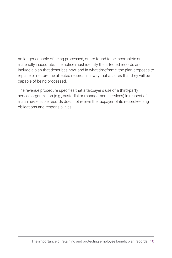no longer capable of being processed, or are found to be incomplete or materially inaccurate. The notice must identify the affected records and include a plan that describes how, and in what timeframe, the plan proposes to replace or restore the affected records in a way that assures that they will be capable of being processed.

The revenue procedure specifies that a taxpayer's use of a third-party service organization (e.g., custodial or management services) in respect of machine-sensible records does not relieve the taxpayer of its recordkeeping obligations and responsibilities.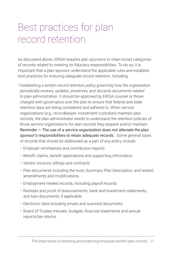# <span id="page-12-0"></span>Best practices for plan record retention

As discussed above, ERISA requires plan sponsors to retain broad categories of records related to meeting its fiduciary responsibilities. To do so, it is important that a plan sponsor understand the applicable rules and establish best practices for ensuring adequate record retention, including:

• *Establishing a written record retention policy governing how the organization periodically reviews, updates, preserves, and discards documents related to plan administration.* It should be approved by ERISA counsel or those charged with governance over the plan to ensure that federal and state retention laws are being considered and adhered to. When service organizations (e.g., recordkeeper, investment custodian) maintain plan records, the plan administrator needs to understand the retention policies of those service organizations for plan records they prepare and/or maintain. Reminder  $-$  The use of a service organization does not alleviate the plan sponsor's responsibilities to retain adequate records. Some general types of records that should be addressed as a part of any policy include:

- Employer remittances and contribution reports
- Benefit claims, benefit applications and supporting information
- Vendor invoices, billings and contracts
- Plan documents including the trust, Summary Plan Description, and related amendments and modifications
- Employment-related records, including payroll records
- Receipts and proof of disbursements, bank and investment statements, and loan documents, if applicable
- Electronic data including emails and scanned documents
- Board of Trustee minutes, budgets, financial statements and annual reports/tax returns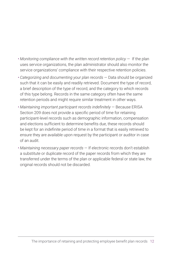- *Monitoring compliance with the written record retention policy* If the plan uses service organizations, the plan administrator should also monitor the service organizations' compliance with their respective retention policies.
- *Categorizing and documenting your plan records* Data should be organized such that it can be easily and readily retrieved. Document the type of record, a brief description of the type of record, and the category to which records of this type belong. Records in the same category often have the same retention periods and might require similar treatment in other ways.
- *Maintaining important participant records indefinitely* Because ERISA Section 209 does not provide a specific period of time for retaining participant-level records such as demographic information, compensation and elections sufficient to determine benefits due, these records should be kept for an indefinite period of time in a format that is easily retrieved to ensure they are available upon request by the participant or auditor in case of an audit.
- *Maintaining necessary paper records* If electronic records don't establish a substitute or duplicate record of the paper records from which they are transferred under the terms of the plan or applicable federal or state law, the original records should not be discarded.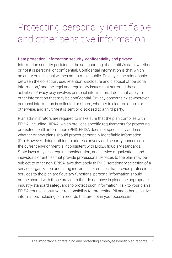# <span id="page-14-0"></span>Protecting personally identifiable and other sensitive information

#### Data protection: Information security, confidentiality and privacy

Information security pertains to the safeguarding of an entity's data, whether or not it is personal or confidential. Confidential information is that which an entity or individual wishes not to make public. Privacy is the relationship between the collection, use, retention, disclosure and disposal of "personal information," and the legal and regulatory issues that surround these activities. Privacy *only* involves personal information; it does not apply to other information that may be confidential. Privacy concerns exist wherever personal information is collected or stored, whether in electronic form or otherwise, and any time it is sent or disclosed to a third party.

Plan administrators are required to make sure that the plan complies with ERISA, including HIPAA, which provides specific requirements for protecting protected health information (PHI). ERISA does not specifically address whether or how plans should protect personally identifiable information (PII). However, doing nothing to address privacy and security concerns in the current environment is inconsistent with ERISA fiduciary standards. State laws may also require consideration, and service organizations and individuals or entities that provide professional services to the plan may be subject to other non-ERISA laws that apply to PII. Discretionary selection of a service organization and hiring individuals or entities that provide professional services to the plan are fiduciary functions; personal information should not be shared with those providers that do not have in place the appropriate industry-standard safeguards to protect such information. Talk to your plan's ERISA counsel about your responsibility for protecting PII and other sensitive information, including plan records that are not in your possession.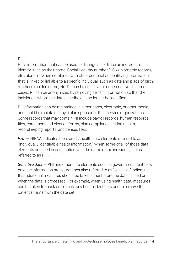### PII

PII is information that can be used to distinguish or trace an individual's identity, such as their name, Social Security number (SSN), biometric records, etc., alone, or when combined with other personal or identifying information that is linked or linkable to a specific individual, such as date and place of birth, mother's maiden name, etc. PII can be sensitive or non-sensitive. In some cases, PII can be anonymized by removing certain information so that the individuals whom the data describe can no longer be identified.

PII information can be maintained in either paper, electronic, or other media, and could be maintained by a plan sponsor or their service organizations. Some records that may contain PII include payroll records, human resource files, enrollment and election forms, plan compliance testing results, recordkeeping reports, and census files.

*PHI* — HIPAA indicates there are 17 health data elements referred to as "individually identifiable health information." When some or all of those data elements are used in conjunction with the name of the individual, that data is referred to as PHI.

*Sensitive data* — PHI and other data elements such as government identifiers or wage information are sometimes also referred to as "sensitive" indicating that additional measures should be taken either before the data is used or when the data is processed. For example, when using health data, measures can be taken to mask or truncate any health identifiers and to remove the patient's name from the data set.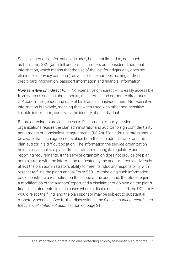Sensitive personal information includes, but is not limited to, data such as full name, SSN (both full and partial numbers are considered personal information, which means that the use of the last four digits only does not eliminate all privacy concerns), driver's license number, mailing address, credit-card information, passport information and financial information.

*Non-sensitive or indirect PII* — Non-sensitive or indirect PII is easily accessible from sources such as phone books, the internet, and corporate directories. ZIP code, race, gender and date of birth are all quasi-identifiers. Non-sensitive information is linkable, meaning that, when used with other non-sensitive linkable information, can reveal the identity of an individual.

Before agreeing to provide access to PII, some third-party service organizations require the plan administrator and auditor to sign confidentiality agreements or nondisclosure agreements (NDAs). Plan administrators should be aware that such agreements place both the plan administrator and the plan auditor in a difficult position. The information the service organization holds is essential to a plan administrator in meeting its regulatory and reporting requirements. If the service organization does not provide the plan administrator with the information requested by the auditor, it could adversely affect the plan administrator's ability to meet its fiduciary responsibility with respect to filing the plan's annual Form 5500. Withholding such information could constitute a restriction on the scope of the audit and, therefore, require a modification of the auditors' report and a disclaimer of opinion on the plan's financial statements. In such cases where a disclaimer is issued, the DOL likely would reject the filing, and the plan sponsor may be subject to substantial monetary penalties. See further discussion in the *Plan accounting records and the financial statement audit* section on page 21.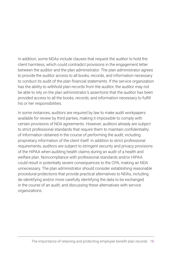In addition, some NDAs include clauses that request the auditor to hold the client harmless, which could contradict provisions in the engagement letter between the auditor and the plan administrator. The plan administrator agrees to provide the auditor access to all books, records, and information necessary to conduct its audit of the plan financial statements. If the service organization has the ability to withhold plan records from the auditor, the auditor may not be able to rely on the plan administrator's assertions that the auditor has been provided access to all the books, records, and information necessary to fulfill his or her responsibilities.

In some instances, auditors are required by law to make audit workpapers available for review by third parties, making it impossible to comply with certain provisions of NDA agreements. However, auditors already are subject to strict professional standards that require them to maintain confidentiality of information obtained in the course of performing the audit, including proprietary information of the client itself. In addition to strict professional requirements, auditors are subject to stringent security and privacy provisions of the HIPAA when auditing health claims during an audit of a health and welfare plan. Noncompliance with professional standards and/or HIPAA could result in potentially severe consequences to the CPA, making an NDA unnecessary. The plan administrator should consider establishing reasonable procedural protections that provide practical alternatives to NDAs, including de-identifying and/or more carefully identifying the data to be exchanged in the course of an audit, and discussing these alternatives with service organizations.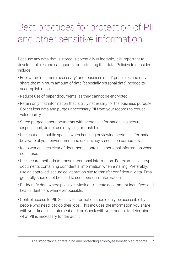# <span id="page-18-0"></span>Best practices for protection of PII and other sensitive information

Because any data that is stored is potentially vulnerable, it is important to develop policies and safeguards for protecting that data. Policies to consider include:

- Follow the "minimum necessary" and "business need" principles and only share the minimum amount of data (especially personal data) needed to accomplish a task.
- Reduce use of paper documents, as they cannot be encrypted.
- Retain only that information that is truly necessary for the business purpose. Collect less data and purge unnecessary PII from your records to reduce vulnerability.
- Shred purged paper documents with personal information in a secure disposal unit; do not use recycling or trash bins.
- Use caution in public spaces when handling or viewing personal information; be aware of your environment and use privacy screens on computers.
- Keep workspaces clear of documents containing personal information when not in use.
- Use secure methods to transmit personal information. For example, encrypt documents containing confidential information when emailing. Preferably, use an approved, secure collaboration site to transfer confidential data. Email generally should not be used to send personal information.
- De-identify data where possible. Mask or truncate government identifiers and health identifiers whenever possible.
- Control access to PII. Sensitive information should only be accessible by people who need it to do their jobs. This includes the information you share with your financial statement auditor. Check with your auditor to determine what PII is necessary for the audit.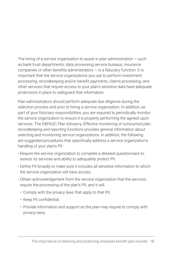The hiring of a service organization to assist in plan administration  $-$  such as bank trust departments, data processing service bureaus, insurance companies or other benefits administrators — is a fiduciary function. It is important that the service organizations you use to perform investment processing, recordkeeping and/or benefit payments, claims processing, and other services that require access to your plan's sensitive data have adequate protections in place to safeguard that information.

Plan administrators should perform adequate due diligence during the selection process and prior to hiring a service organization. In addition, as part of your fiduciary responsibilities, you are required to periodically monitor the service organization to ensure it is properly performing the agreed-upon services. The EBPAQC Plan Advisory, *Effective monitoring of outsourced plan recordkeeping and reporting functions* provides general information about selecting and monitoring service organizations. In addition, the following are suggested procedures that specifically address a service organization's handling of your plan's PII:

- Require the service organization to complete a detailed questionnaire to assess its services and ability to adequately protect PII.
- Define PII broadly to make sure it includes all sensitive information to which the service organization will have access.
- Obtain acknowledgement from the service organization that the services require the processing of the plan's PII, and it will:
	- Comply with the privacy laws that apply to that PII;
	- Keep PII confidential;
	- Provide information and support as the plan may require to comply with privacy laws;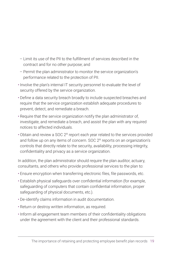- Limit its use of the PII to the fulfillment of services described in the contract and for no other purpose; and
- Permit the plan administrator to monitor the service organization's performance related to the protection of PII.
- Involve the plan's internal IT security personnel to evaluate the level of security offered by the service organization.
- Define a data security breach broadly to include suspected breaches and require that the service organization establish adequate procedures to prevent, detect, and remediate a breach.
- Require that the service organization notify the plan administrator of, investigate, and remediate a breach, and assist the plan with any required notices to affected individuals.
- Obtain and review a SOC 2® report each year related to the services provided and follow up on any items of concern. SOC 2® reports on an organization's controls that directly relate to the security, availability, processing integrity, confidentiality and privacy as a service organization.

In addition, the plan administrator should require the plan auditor, actuary, consultants, and others who provide professional services to the plan to:

- Ensure encryption when transferring electronic files, file passwords, etc.
- Establish physical safeguards over confidential information (for example, safeguarding of computers that contain confidential information, proper safeguarding of physical documents, etc.).
- De-identify claims information in audit documentation.
- Return or destroy written information, as required.
- Inform all engagement team members of their confidentiality obligations under the agreement with the client and their professional standards.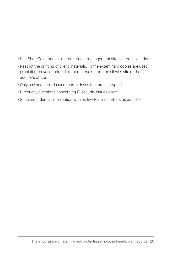- Use SharePoint or a similar document management site to store client data.
- Restrict the printing of client materials. To the extent hard copies are used, prohibit removal of printed client materials from the client's site or the auditor's office.
- Only use audit firm-issued thumb drives that are encrypted.
- Direct any questions concerning IT security issues client.
- Share confidential information with as few team members as possible.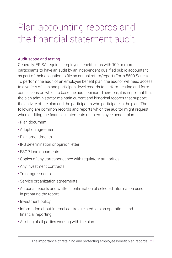# <span id="page-22-0"></span>Plan accounting records and the financial statement audit

### Audit scope and testing

Generally, ERISA requires employee benefit plans with 100 or more participants to have an audit by an independent qualified public accountant as part of their obligation to file an annual return/report (Form 5500 Series). To perform the audit of an employee benefit plan, the auditor will need access to a variety of plan and participant level records to perform testing and form conclusions on which to base the audit opinion. Therefore, it is important that the plan administrator maintain current and historical records that support the activity of the plan and the participants who participate in the plan. The following are common records and reports which the auditor might request when auditing the financial statements of an employee benefit plan:

- Plan document
- Adoption agreement
- Plan amendments
- IRS determination or opinion letter
- ESOP loan documents
- Copies of any correspondence with regulatory authorities
- Any investment contracts
- Trust agreements
- Service organization agreements
- Actuarial reports and written confirmation of selected information used in preparing the report
- Investment policy
- Information about internal controls related to plan operations and financial reporting
- A listing of all parties working with the plan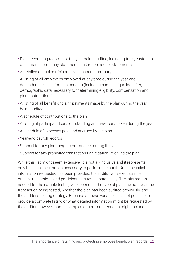- Plan accounting records for the year being audited, including trust, custodian or insurance company statements and recordkeeper statements
- A detailed annual participant-level account summary
- A listing of all employees employed at any time during the year and dependents eligible for plan benefits (including name, unique identifier, demographic data necessary for determining eligibility, compensation and plan contributions)
- A listing of all benefit or claim payments made by the plan during the year being audited
- A schedule of contributions to the plan
- A listing of participant loans outstanding and new loans taken during the year
- A schedule of expenses paid and accrued by the plan
- Year-end payroll records
- Support for any plan mergers or transfers during the year
- Support for any prohibited transactions or litigation involving the plan

While this list might seem extensive, it is not all-inclusive and it represents only the initial information necessary to perform the audit. Once the initial information requested has been provided, the auditor will select samples of plan transactions and participants to test substantively. The information needed for the sample testing will depend on the type of plan, the nature of the transaction being tested, whether the plan has been audited previously, and the auditor's testing strategy. Because of these variables, it is not possible to provide a complete listing of what detailed information might be requested by the auditor; however, some examples of common requests might include: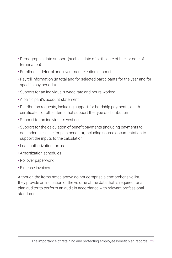- Demographic data support (such as date of birth, date of hire, or date of termination)
- Enrollment, deferral and investment election support
- Payroll information (in total and for selected participants for the year and for specific pay periods)
- Support for an individual's wage rate and hours worked
- A participant's account statement
- Distribution requests, including support for hardship payments, death certificates, or other items that support the type of distribution
- Support for an individual's vesting
- Support for the calculation of benefit payments (including payments to dependents eligible for plan benefits), including source documentation to support the inputs to the calculation
- Loan authorization forms
- Amortization schedules
- Rollover paperwork
- Expense invoices

Although the items noted above do not comprise a comprehensive list, they provide an indication of the volume of the data that is required for a plan auditor to perform an audit in accordance with relevant professional standards.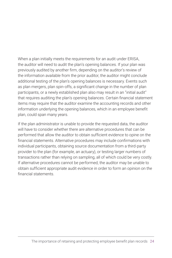When a plan initially meets the requirements for an audit under ERISA, the auditor will need to audit the plan's opening balances. If your plan was previously audited by another firm, depending on the auditor's review of the information available from the prior auditor, the auditor might conclude additional testing of the plan's opening balances is necessary. Events such as plan mergers, plan spin-offs, a significant change in the number of plan participants, or a newly established plan also may result in an "initial audit" that requires auditing the plan's opening balances. Certain financial statement items may require that the auditor examine the accounting records and other information underlying the opening balances, which in an employee benefit plan, could span many years.

If the plan administrator is unable to provide the requested data, the auditor will have to consider whether there are alternative procedures that can be performed that allow the auditor to obtain sufficient evidence to opine on the financial statements. Alternative procedures may include confirmations with individual participants, obtaining source documentation from a third-party provider to the plan (for example, an actuary), or testing larger numbers of transactions rather than relying on sampling, all of which could be very costly. If alternative procedures cannot be performed, the auditor may be unable to obtain sufficient appropriate audit evidence in order to form an opinion on the financial statements.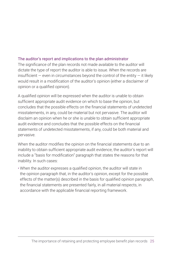### The auditor's report and implications to the plan administrator

The significance of the plan records not made available to the auditor will dictate the type of report the auditor is able to issue. When the records are insufficient  $-$  even in circumstances beyond the control of the entity  $-$  it likely would result in a modification of the auditor's opinion (either a disclaimer of opinion or a qualified opinion).

A qualified opinion will be expressed when the auditor is unable to obtain sufficient appropriate audit evidence on which to base the opinion, but concludes that the possible effects on the financial statements of undetected misstatements, in any, could be material but not pervasive. The auditor will disclaim an opinion when he or she is unable to obtain sufficient appropriate audit evidence and concludes that the possible effects on the financial statements of undetected misstatements, if any, could be both material and pervasive.

When the auditor modifies the opinion on the financial statements due to an inability to obtain sufficient appropriate audit evidence, the auditor's report will include a "basis for modification" paragraph that states the reasons for that inability. In such cases:

• When the auditor expresses a qualified opinion, the auditor will state in the opinion paragraph that, in the auditor's opinion, except for the possible effects of the matter(s) described in the basis for qualified opinion paragraph, the financial statements are presented fairly, in all material respects, in accordance with the applicable financial reporting framework.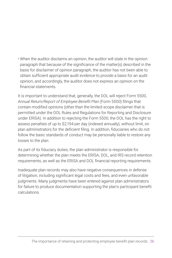• When the auditor disclaims an opinion, the auditor will state in the opinion paragraph that because of the significance of the matter(s) described in the basis for disclaimer of opinion paragraph, the auditor has not been able to obtain sufficient appropriate audit evidence to provide a basis for an audit opinion, and accordingly, the auditor does not express an opinion on the financial statements.

It is important to understand that, generally, the DOL will reject Form 5500, *Annual Return/Report of Employee Benefit Plan* (Form 5500) filings that contain modified opinions (other than the limited-scope disclaimer that is permitted under the DOL Rules and Regulations for Reporting and Disclosure under ERISA). In addition to rejecting the Form 5500, the DOL has the right to assess penalties of up to \$2,194 per day (indexed annually), without limit, on plan administrators for the deficient filing. In addition, fiduciaries who do not follow the basic standards of conduct may be personally liable to restore any losses to the plan.

As part of its fiduciary duties, the plan administrator is responsible for determining whether the plan meets the ERISA, DOL, and IRS record retention requirements, as well as the ERISA and DOL financial reporting requirements.

Inadequate plan records may also have negative consequences in defense of litigation, including significant legal costs and fees, and even unfavorable judgments. Many judgments have been entered against plan administrators for failure to produce documentation supporting the plan's participant benefit calculations.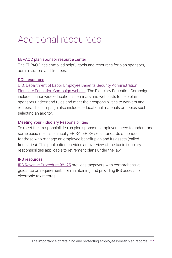### <span id="page-28-0"></span>Additional resources

#### [EBPAQC plan sponsor resource center](https://www.aicpa.org/interestareas/employeebenefitplanauditquality/resources/plansponsorresourcecenter.html)

The EBPAQC has compiled helpful tools and resources for plan sponsors, administrators and trustees.

#### [DOL resources](http://dol.gov/ebsa/fiduciaryeducation.html)

[U.S. Department of Labor Employee Benefits Security Administration](https://www.dol.gov/agencies/ebsa/employers-and-advisers/plan-administration-and-compliance/fiduciary-responsibilities/fiduciary-education-campaign)  [Fiduciary Education Campaign website.](https://www.dol.gov/agencies/ebsa/employers-and-advisers/plan-administration-and-compliance/fiduciary-responsibilities/fiduciary-education-campaign) The Fiduciary Education Campaign includes nationwide educational seminars and webcasts to help plan sponsors understand rules and meet their responsibilities to workers and retirees. The campaign also includes educational materials on topics such selecting an auditor.

#### [Meeting Your Fiduciary Responsibilities](https://www.dol.gov/sites/default/files/ebsa/about-ebsa/our-activities/resource-center/publications/meeting-your-fiduciary-responsibilities.pdf)

To meet their responsibilities as plan sponsors, employers need to understand some basic rules, specifically ERISA. ERISA sets standards of conduct for those who manage an employee benefit plan and its assets (called fiduciaries). This publication provides an overview of the basic fiduciary responsibilities applicable to retirement plans under the law.

#### IRS resources

[IRS Revenue Procedure 98–25](https://www.irs.gov/pub/irs-drop/rp-98-25.pdf) provides taxpayers with comprehensive guidance on requirements for maintaining and providing IRS access to electronic tax records.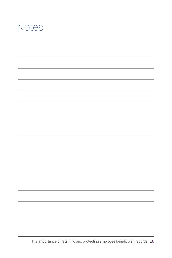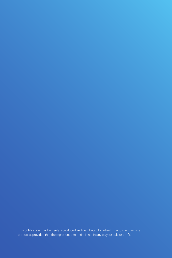This publication may be freely reproduced and distributed for intra-firm and client service purposes, provided that the reproduced material is not in any way for sale or profit.